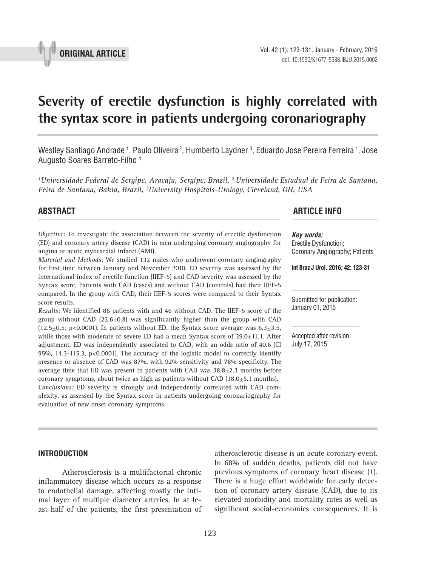

# **Severity of erectile dysfunction is highly correlated with the syntax score in patients undergoing coronariography \_\_\_\_\_\_\_\_\_\_\_\_\_\_\_\_\_\_\_\_\_\_\_\_\_\_\_\_\_\_\_\_\_\_\_\_\_\_\_\_\_\_\_\_\_\_\_**

Weslley Santiago Andrade <sup>1</sup>, Paulo Oliveira <sup>2</sup>, Humberto Laydner <sup>3</sup>, Eduardo Jose Pereira Ferreira <sup>1</sup>, Jose Augusto Soares Barreto-Filho 1

*1 Universidade Federal de Sergipe, Aracaju, Sergipe, Brazil, 2 Universidade Estadual de Feira de Santana, Feira de Santana, Bahia, Brazil, 3 University Hospitals-Urology, Cleveland, OH, USA*

*Objective:* To investigate the association between the severity of erectile dysfunction (ED) and coronary artery disease (CAD) in men undergoing coronary angiography for angina or acute myocardial infarct (AMI).

*Material and Methods:* We studied 132 males who underwent coronary angiography for first time between January and November 2010. ED severity was assessed by the international index of erectile function (IIEF-5) and CAD severity was assessed by the Syntax score. Patients with CAD (cases) and without CAD (controls) had their IIEF-5 compared. In the group with CAD, their IIEF-5 scores were compared to their Syntax score results.

*Results:* We identified 86 patients with and 46 without CAD. The IIEF-5 score of the group without CAD  $(22.6\pm0.8)$  was significantly higher than the group with CAD  $(12.5\pm0.5; p<0.0001)$ . In patients without ED, the Syntax score average was  $6.3\pm3.5$ , while those with moderate or severe ED had a mean Syntax score of  $39.0±11.1$ . After adjustment, ED was independently associated to CAD, with an odds ratio of 40.6 (CI 95%, 14.3-115.3, p<0.0001). The accuracy of the logistic model to correctly identify presence or absence of CAD was 87%, with 92% sensitivity and 78% specificity. The average time that ED was present in patients with CAD was  $38.8 \pm 2.3$  months before coronary symptoms, about twice as high as patients without CAD  $(18.0±5.1$  months). *Conclusions:* ED severity is strongly and independently correlated with CAD complexity, as assessed by the Syntax score in patients undergoing coronariography for evaluation of new onset coronary symptoms.

# **ABSTRACT ARTICLE INFO** *\_\_\_\_\_\_\_\_\_\_\_\_\_\_\_\_\_\_\_\_\_\_\_\_\_\_\_\_\_\_\_\_\_\_\_\_\_\_\_\_\_\_\_\_\_\_\_\_\_\_\_\_\_\_\_\_\_\_\_\_\_\_ \_\_\_\_\_\_\_\_\_\_\_\_\_\_\_\_\_\_\_\_\_\_*

*Key words:* Erectile Dysfunction; Coronary Angiography; Patients

**Int Braz J Urol. 2016; 42: 123-31**

Submitted for publication: January 01, 2015

Accepted after revision: July 17, 2015

## **INTRODUCTION**

Atherosclerosis is a multifactorial chronic inflammatory disease which occurs as a response to endothelial damage, affecting mostly the intimal layer of multiple diameter arteries. In at least half of the patients, the first presentation of atherosclerotic disease is an acute coronary event. In 68% of sudden deaths, patients did not have previous symptoms of coronary heart disease (1). There is a huge effort worldwide for early detection of coronary artery disease (CAD), due to its elevated morbidity and mortality rates as well as significant social-economics consequences. It is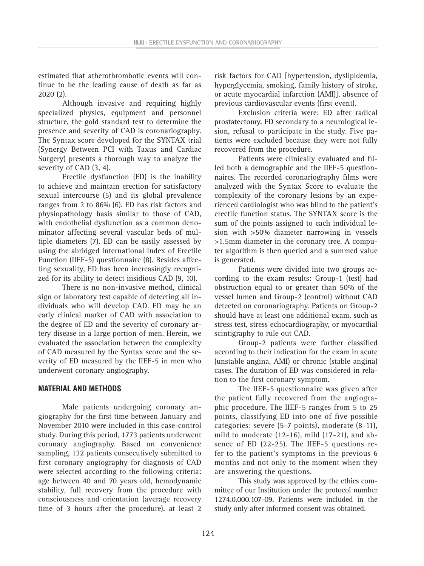124

estimated that atherothrombotic events will continue to be the leading cause of death as far as 2020 (2).

Although invasive and requiring highly specialized physics, equipment and personnel structure, the gold standard test to determine the presence and severity of CAD is coronariography. The Syntax score developed for the SYNTAX trial (Synergy Between PCI with Taxus and Cardiac Surgery) presents a thorough way to analyze the severity of CAD (3, 4).

Erectile dysfunction (ED) is the inability to achieve and maintain erection for satisfactory sexual intercourse (5) and its global prevalence ranges from 2 to 86% (6). ED has risk factors and physiopathology basis similar to those of CAD, with endothelial dysfunction as a common denominator affecting several vascular beds of multiple diameters (7). ED can be easily assessed by using the abridged International Index of Erectile Function (IIEF-5) questionnaire (8). Besides affecting sexuality, ED has been increasingly recognized for its ability to detect insidious CAD (9, 10).

There is no non-invasive method, clinical sign or laboratory test capable of detecting all individuals who will develop CAD. ED may be an early clinical marker of CAD with association to the degree of ED and the severity of coronary artery disease in a large portion of men. Herein, we evaluated the association between the complexity of CAD measured by the Syntax score and the severity of ED measured by the IIEF-5 in men who underwent coronary angiography.

# **MATERIAL AND METHODS**

Male patients undergoing coronary angiography for the first time between January and November 2010 were included in this case-control study. During this period, 1773 patients underwent coronary angiography. Based on convenience sampling, 132 patients consecutively submitted to first coronary angiography for diagnosis of CAD were selected according to the following criteria: age between 40 and 70 years old, hemodynamic stability, full recovery from the procedure with consciousness and orientation (average recovery time of 3 hours after the procedure), at least 2

risk factors for CAD [hypertension, dyslipidemia, hyperglycemia, smoking, family history of stroke, or acute myocardial infarction (AMI)], absence of previous cardiovascular events (first event).

Exclusion criteria were: ED after radical prostatectomy, ED secondary to a neurological lesion, refusal to participate in the study. Five patients were excluded because they were not fully recovered from the procedure.

Patients were clinically evaluated and filled both a demographic and the IIEF-5 questionnaires. The recorded coronariography films were analyzed with the Syntax Score to evaluate the complexity of the coronary lesions by an experienced cardiologist who was blind to the patient's erectile function status. The SYNTAX score is the sum of the points assigned to each individual lesion with >50% diameter narrowing in vessels >1.5mm diameter in the coronary tree. A computer algorithm is then queried and a summed value is generated.

Patients were divided into two groups according to the exam results: Group-1 (test) had obstruction equal to or greater than 50% of the vessel lumen and Group-2 (control) without CAD detected on coronariography. Patients on Group-2 should have at least one additional exam, such as stress test, stress echocardiography, or myocardial scintigraphy to rule out CAD.

Group-2 patients were further classified according to their indication for the exam in acute (unstable angina, AMI) or chronic (stable angina) cases. The duration of ED was considered in relation to the first coronary symptom.

The IIEF-5 questionnaire was given after the patient fully recovered from the angiographic procedure. The IIEF-5 ranges from 5 to 25 points, classifying ED into one of five possible categories: severe (5-7 points), moderate (8-11), mild to moderate (12-16), mild (17-21), and absence of ED (22-25). The IIEF-5 questions refer to the patient's symptoms in the previous 6 months and not only to the moment when they are answering the questions.

This study was approved by the ethics committee of our Institution under the protocol number 1274.0.000.107-09. Patients were included in the study only after informed consent was obtained.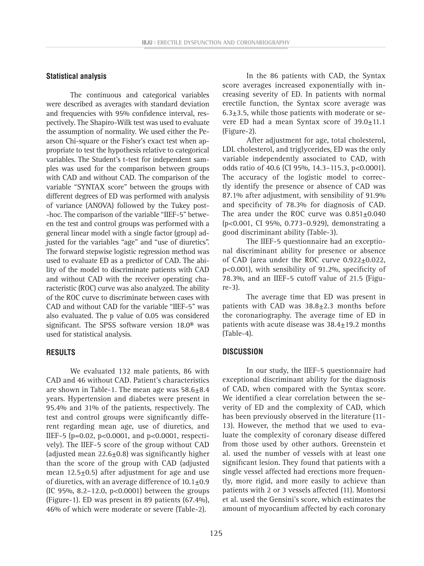### **Statistical analysis**

The continuous and categorical variables were described as averages with standard deviation and frequencies with 95% confidence interval, respectively. The Shapiro-Wilk test was used to evaluate the assumption of normality. We used either the Pearson Chi-square or the Fisher's exact test when appropriate to test the hypothesis relative to categorical variables. The Student's t-test for independent samples was used for the comparison between groups with CAD and without CAD. The comparison of the variable "SYNTAX score" between the groups with different degrees of ED was performed with analysis of variance (ANOVA) followed by the Tukey post- -hoc. The comparison of the variable "IIEF-5" between the test and control groups was performed with a general linear model with a single factor (group) adjusted for the variables "age" and "use of diuretics". The forward stepwise logistic regression method was used to evaluate ED as a predictor of CAD. The ability of the model to discriminate patients with CAD and without CAD with the receiver operating characteristic (ROC) curve was also analyzed. The ability of the ROC curve to discriminate between cases with CAD and without CAD for the variable "IIEF-5" was also evaluated. The p value of 0.05 was considered significant. The SPSS software version 18.0® was used for statistical analysis.

#### **RESULTS**

We evaluated 132 male patients, 86 with CAD and 46 without CAD. Patient's characteristics are shown in Table-1. The mean age was 58.6±8.4 years. Hypertension and diabetes were present in 95.4% and 31% of the patients, respectively. The test and control groups were significantly different regarding mean age, use of diuretics, and IIEF-5 (p=0.02, p<0.0001, and p<0.0001, respectively). The IIEF-5 score of the group without CAD (adjusted mean 22.6±0.8) was significantly higher than the score of the group with CAD (adjusted mean  $12.5\pm0.5$ ) after adjustment for age and use of diuretics, with an average difference of  $10.1 \pm 0.9$ (IC 95%, 8.2–12.0, p<0.0001) between the groups (Figure-1). ED was present in 89 patients (67.4%), 46% of which were moderate or severe (Table-2).

In the 86 patients with CAD, the Syntax score averages increased exponentially with increasing severity of ED. In patients with normal erectile function, the Syntax score average was  $6.3\pm3.5$ , while those patients with moderate or severe ED had a mean Syntax score of  $39.0 \pm 11.1$ (Figure-2).

After adjustment for age, total cholesterol, LDL cholesterol, and triglycerides, ED was the only variable independently associated to CAD, with odds ratio of 40.6 (CI 95%, 14.3–115.3, p<0.0001). The accuracy of the logistic model to correctly identify the presence or absence of CAD was 87.1% after adjustment, with sensibility of 91.9% and specificity of 78.3% for diagnosis of CAD. The area under the ROC curve was  $0.851 \pm 0.040$ (p<0.001, CI 95%, 0.773–0.929), demonstrating a good discriminant ability (Table-3).

The IIEF-5 questionnaire had an exceptional discriminant ability for presence or absence of CAD (area under the ROC curve 0.922+0.022, p<0.001), with sensibility of 91.2%, specificity of 78.3%, and an IIEF-5 cutoff value of 21.5 (Figure-3).

The average time that ED was present in patients with CAD was  $38.8 \pm 2.3$  months before the coronariography. The average time of ED in patients with acute disease was  $38.4 \pm 19.2$  months (Table-4).

## **DISCUSSION**

In our study, the IIEF-5 questionnaire had exceptional discriminant ability for the diagnosis of CAD, when compared with the Syntax score. We identified a clear correlation between the severity of ED and the complexity of CAD, which has been previously observed in the literature (11- 13). However, the method that we used to evaluate the complexity of coronary disease differed from those used by other authors. Greenstein et al. used the number of vessels with at least one significant lesion. They found that patients with a single vessel affected had erections more frequently, more rigid, and more easily to achieve than patients with 2 or 3 vessels affected (11). Montorsi et al. used the Gensini's score, which estimates the amount of myocardium affected by each coronary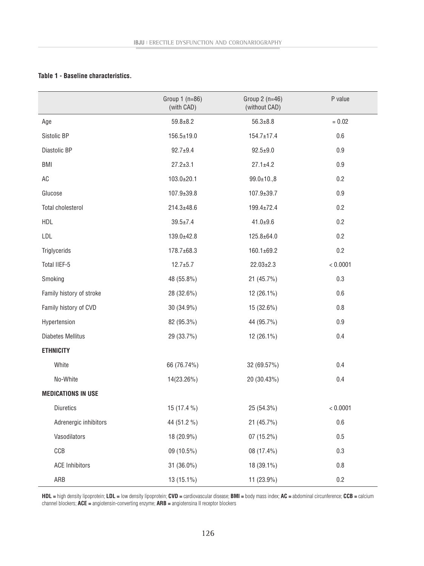#### **Table 1 - Baseline characteristics.**

|                           | Group $1(n=86)$<br>(with CAD) | Group $2(n=46)$<br>(without CAD) | P value  |
|---------------------------|-------------------------------|----------------------------------|----------|
| Age                       | $59.8 + 8.2$                  | $56.3 \pm 8.8$                   | $= 0.02$ |
| Sistolic BP               | $156.5 \pm 19.0$              | $154.7 \pm 17.4$                 | 0.6      |
| Diastolic BP              | $92.7 + 9.4$                  | $92.5 + 9.0$                     | 0.9      |
| <b>BMI</b>                | $27.2 \pm 3.1$                | $27.1 \pm 4.2$                   | 0.9      |
| AC                        | $103.0 \pm 20.1$              | $99.0 \pm 10.08$                 | 0.2      |
| Glucose                   | $107.9 \pm 39.8$              | $107.9 \pm 39.7$                 | 0.9      |
| Total cholesterol         | $214.3 \pm 48.6$              | $199.4 \pm 72.4$                 | 0.2      |
| <b>HDL</b>                | $39.5 \pm 7.4$                | $41.0 + 9.6$                     | 0.2      |
| LDL                       | 139.0±42.8                    | $125.8 + 64.0$                   | 0.2      |
| Triglycerids              | 178.7±68.3                    | 160.1±69.2                       | 0.2      |
| Total IIEF-5              | $12.7 + 5.7$                  | $22.03 \pm 2.3$                  | < 0.0001 |
| Smoking                   | 48 (55.8%)                    | 21 (45.7%)                       | 0.3      |
| Family history of stroke  | 28 (32.6%)                    | 12 (26.1%)                       | 0.6      |
| Family history of CVD     | 30 (34.9%)                    | 15 (32.6%)                       | $0.8\,$  |
| Hypertension              | 82 (95.3%)                    | 44 (95.7%)                       | 0.9      |
| <b>Diabetes Mellitus</b>  | 29 (33.7%)                    | 12 (26.1%)                       | 0.4      |
| <b>ETHNICITY</b>          |                               |                                  |          |
| White                     | 66 (76.74%)                   | 32 (69.57%)                      | 0.4      |
| No-White                  | 14(23.26%)                    | 20 (30.43%)                      | 0.4      |
| <b>MEDICATIONS IN USE</b> |                               |                                  |          |
| Diuretics                 | 15 (17.4 %)                   | 25 (54.3%)                       | < 0.0001 |
| Adrenergic inhibitors     | 44 (51.2 %)                   | 21 (45.7%)                       | 0.6      |
| Vasodilators              | 18 (20.9%)                    | 07 (15.2%)                       | $0.5\,$  |
| CCB                       | 09 (10.5%)                    | 08 (17.4%)                       | 0.3      |
| <b>ACE Inhibitors</b>     | 31 (36.0%)                    | 18 (39.1%)                       | $0.8\,$  |
| ARB                       | 13 (15.1%)                    | 11 (23.9%)                       | $0.2\,$  |

**HDL =** high density lipoprotein; **LDL =** low density lipoprotein; **CVD =** cardiovascular disease; **BMI =** body mass index; **AC =** abdominal circunference; **CCB =** calcium channel blockers; **ACE =** angiotensin-converting enzyme; **ARB =** angiotensina II receptor blockers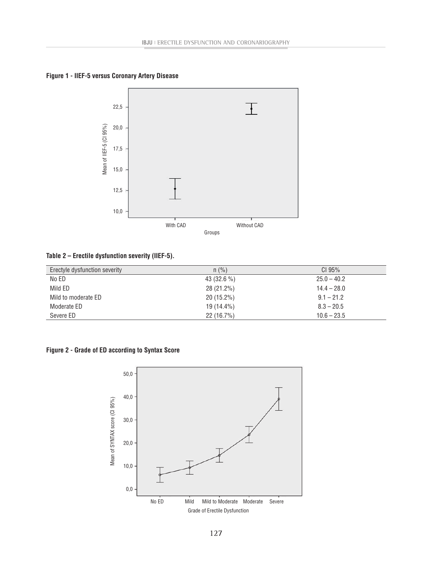**Figure 1 - IIEF-5 versus Coronary Artery Disease**



**Table 2 – Erectile dysfunction severity (IIEF-5).**

| Erectyle dysfunction severity | $n$ (%)      | CI <sub>95%</sub> |
|-------------------------------|--------------|-------------------|
| No ED                         | $43(32.6\%)$ | $25.0 - 40.2$     |
| Mild ED                       | 28 (21.2%)   | $14.4 - 28.0$     |
| Mild to moderate ED           | $20(15.2\%)$ | $9.1 - 21.2$      |
| Moderate ED                   | 19 (14.4%)   | $8.3 - 20.5$      |
| Severe ED                     | $22(16.7\%)$ | $10.6 - 23.5$     |

**Figure 2 - Grade of ED according to Syntax Score**

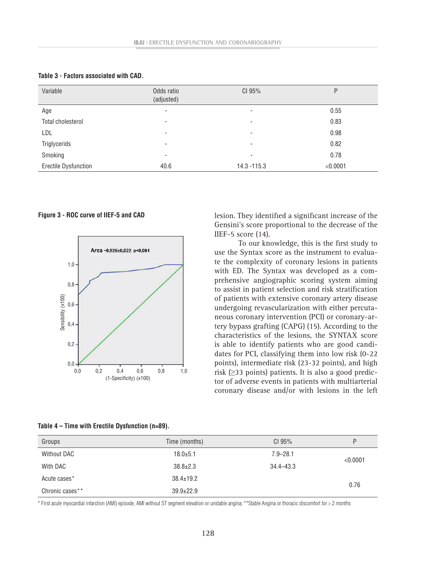| Variable                    | Odds ratio<br>(adjusted) | CI 95%                   | P        |
|-----------------------------|--------------------------|--------------------------|----------|
| Age                         | -                        | ۰                        | 0.55     |
| Total cholesterol           | -                        | ۰                        | 0.83     |
| LDL                         | ٠                        | $\overline{\phantom{0}}$ | 0.98     |
| Triglycerids                | -                        | ۰                        | 0.82     |
| Smoking                     | -                        | ۰                        | 0.78     |
| <b>Erectile Dysfunction</b> | 40.6                     | $14.3 - 115.3$           | < 0.0001 |

**Table 3 - Factors associated with CAD.**

**Figure 3 - ROC curve of IIEF-5 and CAD**



| lesion. They identified a significant increase of the |
|-------------------------------------------------------|
| Gensini's score proportional to the decrease of the   |
| IIEF-5 score $(14)$ .                                 |

To our knowledge, this is the first study to use the Syntax score as the instrument to evaluate the complexity of coronary lesions in patients with ED. The Syntax was developed as a comprehensive angiographic scoring system aiming to assist in patient selection and risk stratification of patients with extensive coronary artery disease undergoing revascularization with either percutaneous coronary intervention (PCI) or coronary-artery bypass grafting (CAPG) (15). According to the characteristics of the lesions, the SYNTAX score is able to identify patients who are good candidates for PCI, classifying them into low risk (0-22 points), intermediate risk (23-32 points), and high risk ( $\geq$ 33 points) patients. It is also a good predictor of adverse events in patients with multiarterial coronary disease and/or with lesions in the left

| Table 4 – Time with Erectile Dysfunction (n=89). |  |  |
|--------------------------------------------------|--|--|
|--------------------------------------------------|--|--|

| Groups             | Time (months)   | CI 95%        | P        |  |
|--------------------|-----------------|---------------|----------|--|
| <b>Without DAC</b> | $18.0 + 5.1$    | $7.9 - 28.1$  | < 0.0001 |  |
| With DAC           | $38.8 \pm 2.3$  | $34.4 - 43.3$ |          |  |
| Acute cases*       | $38.4 \pm 19.2$ |               |          |  |
| Chronic cases**    | $39.9 \pm 22.9$ |               | 0.76     |  |

\* First acute myocardial infarction (AMI) episode, AMI without ST segment elevation or unstable angina; \*\*Stable Angina or thoracic discomfort for > 2 months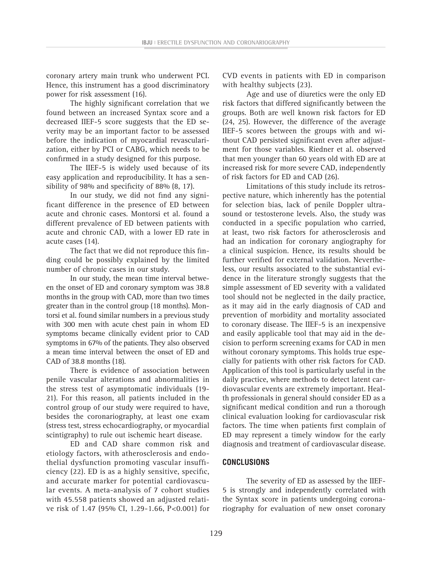coronary artery main trunk who underwent PCI. Hence, this instrument has a good discriminatory power for risk assessment (16).

The highly significant correlation that we found between an increased Syntax score and a decreased IIEF-5 score suggests that the ED severity may be an important factor to be assessed before the indication of myocardial revascularization, either by PCI or CABG, which needs to be confirmed in a study designed for this purpose.

The IIEF-5 is widely used because of its easy application and reproducibility. It has a sensibility of 98% and specificity of 88% (8, 17).

In our study, we did not find any significant difference in the presence of ED between acute and chronic cases. Montorsi et al. found a different prevalence of ED between patients with acute and chronic CAD, with a lower ED rate in acute cases (14).

The fact that we did not reproduce this finding could be possibly explained by the limited number of chronic cases in our study.

In our study, the mean time interval between the onset of ED and coronary symptom was 38.8 months in the group with CAD, more than two times greater than in the control group (18 months). Montorsi et al. found similar numbers in a previous study with 300 men with acute chest pain in whom ED symptoms became clinically evident prior to CAD symptoms in 67% of the patients. They also observed a mean time interval between the onset of ED and CAD of 38.8 months (18).

There is evidence of association between penile vascular alterations and abnormalities in the stress test of asymptomatic individuals (19- 21). For this reason, all patients included in the control group of our study were required to have, besides the coronariography, at least one exam (stress test, stress echocardiography, or myocardial scintigraphy) to rule out ischemic heart disease.

ED and CAD share common risk and etiology factors, with atherosclerosis and endothelial dysfunction promoting vascular insufficiency (22). ED is as a highly sensitive, specific, and accurate marker for potential cardiovascular events. A meta-analysis of 7 cohort studies with 45.558 patients showed an adjusted relative risk of 1.47 (95% CI, 1.29-1.66, P<0.001) for CVD events in patients with ED in comparison with healthy subjects (23).

Age and use of diuretics were the only ED risk factors that differed significantly between the groups. Both are well known risk factors for ED (24, 25). However, the difference of the average IIEF-5 scores between the groups with and without CAD persisted significant even after adjustment for those variables. Riedner et al. observed that men younger than 60 years old with ED are at increased risk for more severe CAD, independently of risk factors for ED and CAD (26).

Limitations of this study include its retrospective nature, which inherently has the potential for selection bias, lack of penile Doppler ultrasound or testosterone levels. Also, the study was conducted in a specific population who carried, at least, two risk factors for atherosclerosis and had an indication for coronary angiography for a clinical suspicion. Hence, its results should be further verified for external validation. Nevertheless, our results associated to the substantial evidence in the literature strongly suggests that the simple assessment of ED severity with a validated tool should not be neglected in the daily practice, as it may aid in the early diagnosis of CAD and prevention of morbidity and mortality associated to coronary disease. The IIEF-5 is an inexpensive and easily applicable tool that may aid in the decision to perform screening exams for CAD in men without coronary symptoms. This holds true especially for patients with other risk factors for CAD. Application of this tool is particularly useful in the daily practice, where methods to detect latent cardiovascular events are extremely important. Health professionals in general should consider ED as a significant medical condition and run a thorough clinical evaluation looking for cardiovascular risk factors. The time when patients first complain of ED may represent a timely window for the early diagnosis and treatment of cardiovascular disease.

# **CONCLUSIONS**

The severity of ED as assessed by the IIEF-5 is strongly and independently correlated with the Syntax score in patients undergoing coronariography for evaluation of new onset coronary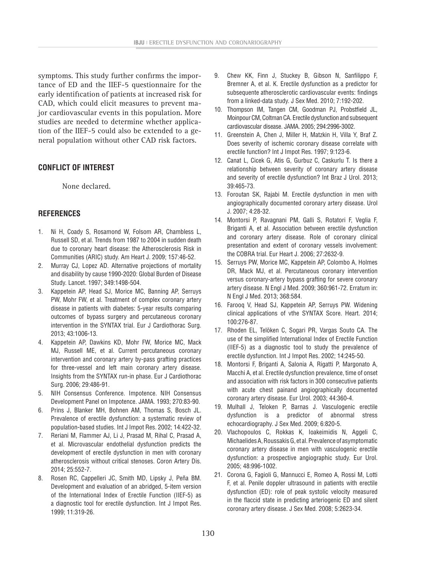symptoms. This study further confirms the importance of ED and the IIEF-5 questionnaire for the early identification of patients at increased risk for CAD, which could elicit measures to prevent major cardiovascular events in this population. More studies are needed to determine whether application of the IIEF-5 could also be extended to a general population without other CAD risk factors.

# **CONFLICT OF INTEREST**

None declared.

# **REFERENCES**

- 1. Ni H, Coady S, Rosamond W, Folsom AR, Chambless L, Russell SD, et al. Trends from 1987 to 2004 in sudden death due to coronary heart disease: the Atherosclerosis Risk in Communities (ARIC) study. Am Heart J. 2009; 157:46-52.
- 2. Murray CJ, Lopez AD. Alternative projections of mortality and disability by cause 1990-2020: Global Burden of Disease Study. Lancet. 1997; 349:1498-504.
- 3. Kappetein AP, Head SJ, Morice MC, Banning AP, Serruys PW, Mohr FW, et al. Treatment of complex coronary artery disease in patients with diabetes: 5-year results comparing outcomes of bypass surgery and percutaneous coronary intervention in the SYNTAX trial. Eur J Cardiothorac Surg. 2013; 43:1006-13.
- 4. Kappetein AP, Dawkins KD, Mohr FW, Morice MC, Mack MJ, Russell ME, et al. Current percutaneous coronary intervention and coronary artery by-pass grafting practices for three-vessel and left main coronary artery disease. Insights from the SYNTAX run-in phase. Eur J Cardiothorac Surg. 2006; 29:486-91.
- 5. NIH Consensus Conference. Impotence. NIH Consensus Development Panel on Impotence. JAMA. 1993; 270:83-90.
- 6. Prins J, Blanker MH, Bohnen AM, Thomas S, Bosch JL. Prevalence of erectile dysfunction: a systematic review of population-based studies. Int J Impot Res. 2002; 14:422-32.
- 7. Reriani M, Flammer AJ, Li J, Prasad M, Rihal C, Prasad A, et al. Microvascular endothelial dysfunction predicts the development of erectile dysfunction in men with coronary atherosclerosis without critical stenoses. Coron Artery Dis. 2014; 25:552-7.
- 8. Rosen RC, Cappelleri JC, Smith MD, Lipsky J, Peña BM. Development and evaluation of an abridged, 5-item version of the International Index of Erectile Function (IIEF-5) as a diagnostic tool for erectile dysfunction. Int J Impot Res. 1999; 11:319-26.
- 9. Chew KK, Finn J, Stuckey B, Gibson N, Sanfilippo F, Bremner A, et al. K. Erectile dysfunction as a predictor for subsequente atherosclerotic cardiovascular events: findings from a linked-data study. J Sex Med. 2010; 7:192-202.
- 10. Thompson IM, Tangen CM, Goodman PJ, Probstfield JL, Moinpour CM, Coltman CA. Erectile dysfunction and subsequent cardiovascular disease. JAMA. 2005; 294:2996-3002.
- 11. Greenstein A, Chen J, Miller H, Matzkin H, Villa Y, Braf Z. Does severity of ischemic coronary disease correlate with erectile function? Int J Impot Res. 1997; 9:123-6.
- 12. Canat L, Cicek G, Atis G, Gurbuz C, Caskurlu T. Is there a relationship between severity of coronary artery disease and severity of erectile dysfunction? Int Braz J Urol. 2013; 39:465-73.
- 13. Foroutan SK, Rajabi M. Erectile dysfunction in men with angiographically documented coronary artery disease. Urol J. 2007; 4:28-32.
- 14. Montorsi P, Ravagnani PM, Galli S, Rotatori F, Veglia F, Briganti A, et al. Association between erectile dysfunction and coronary artery disease. Role of coronary clinical presentation and extent of coronary vessels involvement: the COBRA trial. Eur Heart J. 2006; 27:2632-9.
- 15. Serruys PW, Morice MC, Kappetein AP, Colombo A, Holmes DR, Mack MJ, et al. Percutaneous coronary intervention versus coronary-artery bypass grafting for severe coronary artery disease. N Engl J Med. 2009; 360:961-72. Erratum in: N Engl J Med. 2013; 368:584.
- 16. Farooq V, Head SJ, Kappetein AP, Serruys PW. Widening clinical applications of vthe SYNTAX Score. Heart. 2014; 100:276-87.
- 17. Rhoden EL, Telöken C, Sogari PR, Vargas Souto CA. The use of the simplified International Index of Erectile Function (IIEF-5) as a diagnostic tool to study the prevalence of erectile dysfunction. Int J Impot Res. 2002; 14:245-50.
- 18. Montorsi F, Briganti A, Salonia A, Rigatti P, Margonato A, Macchi A, et al. Erectile dysfunction prevalence, time of onset and association with risk factors in 300 consecutive patients with acute chest painand angiographically documented coronary artery disease. Eur Urol. 2003; 44:360-4.
- 19. Mulhall J, Teloken P, Barnas J. Vasculogenic erectile dysfunction is a predictor of abnormal stress echocardiography. J Sex Med. 2009; 6:820-5.
- 20. Vlachopoulos C, Rokkas K, Ioakeimidis N, Aggeli C, Michaelides A, Roussakis G, et al. Prevalence of asymptomatic coronary artery disease in men with vasculogenic erectile dysfunction: a prospective angiographic study. Eur Urol. 2005; 48:996-1002.
- 21. Corona G, Fagioli G, Mannucci E, Romeo A, Rossi M, Lotti F, et al. Penile doppler ultrasound in patients with erectile dysfunction (ED): role of peak systolic velocity measured in the flaccid state in predicting arteriogenic ED and silent coronary artery disease. J Sex Med. 2008; 5:2623-34.